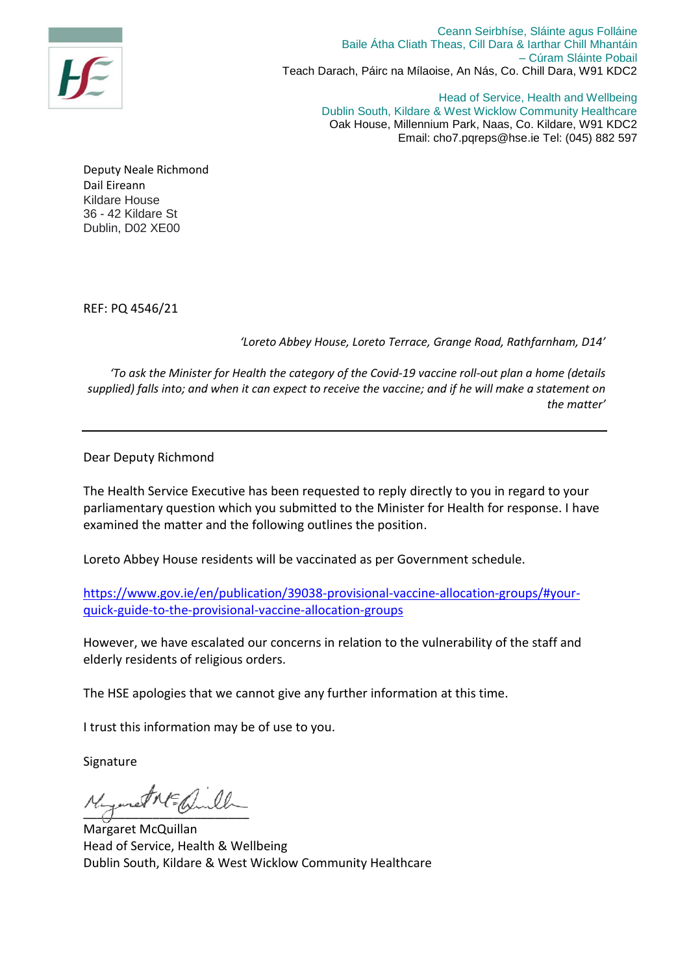

Ceann Seirbhíse, Sláinte agus Folláine Baile Átha Cliath Theas, Cill Dara & Iarthar Chill Mhantáin – Cúram Sláinte Pobail Teach Darach, Páirc na Mílaoise, An Nás, Co. Chill Dara, W91 KDC2

> Head of Service, Health and Wellbeing Dublin South, Kildare & West Wicklow Community Healthcare Oak House, Millennium Park, Naas, Co. Kildare, W91 KDC2 Email: cho7.pqreps@hse.ie Tel: (045) 882 597

Deputy Neale Richmond Dail Eireann Kildare House 36 - 42 Kildare St Dublin, D02 XE00

REF: PQ 4546/21

*'Loreto Abbey House, Loreto Terrace, Grange Road, Rathfarnham, D14'*

*'To ask the Minister for Health the category of the Covid-19 vaccine roll-out plan a home (details supplied) falls into; and when it can expect to receive the vaccine; and if he will make a statement on the matter'*

Dear Deputy Richmond

The Health Service Executive has been requested to reply directly to you in regard to your parliamentary question which you submitted to the Minister for Health for response. I have examined the matter and the following outlines the position.

Loreto Abbey House residents will be vaccinated as per Government schedule.

[https://www.gov.ie/en/publication/39038-provisional-vaccine-allocation-groups/#your](https://www.gov.ie/en/publication/39038-provisional-vaccine-allocation-groups/#your-quick-guide-to-the-provisional-vaccine-allocation-groups)[quick-guide-to-the-provisional-vaccine-allocation-groups](https://www.gov.ie/en/publication/39038-provisional-vaccine-allocation-groups/#your-quick-guide-to-the-provisional-vaccine-allocation-groups)

However, we have escalated our concerns in relation to the vulnerability of the staff and elderly residents of religious orders.

The HSE apologies that we cannot give any further information at this time.

I trust this information may be of use to you.

Signature

 $\frac{1}{2}$ 

Margaret McQuillan Head of Service, Health & Wellbeing Dublin South, Kildare & West Wicklow Community Healthcare